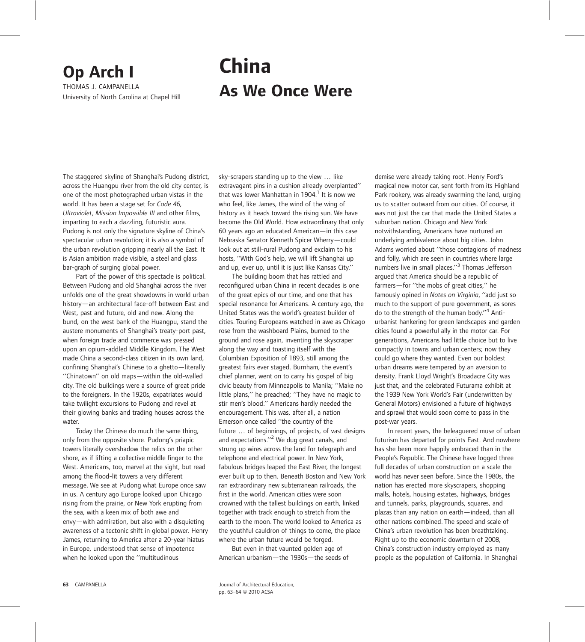## Op Arch I THOMAS J. CAMPANELLA University of North Carolina at Chapel Hill

## China As We Once Were

The staggered skyline of Shanghai's Pudong district, across the Huangpu river from the old city center, is one of the most photographed urban vistas in the world. It has been a stage set for Code 46, Ultraviolet, Mission Impossible III and other films, imparting to each a dazzling, futuristic aura. Pudong is not only the signature skyline of China's spectacular urban revolution; it is also a symbol of the urban revolution gripping nearly all the East. It is Asian ambition made visible, a steel and glass bar-graph of surging global power.

Part of the power of this spectacle is political. Between Pudong and old Shanghai across the river unfolds one of the great showdowns in world urban history—an architectural face-off between East and West, past and future, old and new. Along the bund, on the west bank of the Huangpu, stand the austere monuments of Shanghai's treaty-port past, when foreign trade and commerce was pressed upon an opium-addled Middle Kingdom. The West made China a second-class citizen in its own land, confining Shanghai's Chinese to a ghetto—literally ''Chinatown'' on old maps—within the old-walled city. The old buildings were a source of great pride to the foreigners. In the 1920s, expatriates would take twilight excursions to Pudong and revel at their glowing banks and trading houses across the water.

Today the Chinese do much the same thing, only from the opposite shore. Pudong's priapic towers literally overshadow the relics on the other shore, as if lifting a collective middle finger to the West. Americans, too, marvel at the sight, but read among the flood-lit towers a very different message. We see at Pudong what Europe once saw in us. A century ago Europe looked upon Chicago rising from the prairie, or New York erupting from the sea, with a keen mix of both awe and envy—with admiration, but also with a disquieting awareness of a tectonic shift in global power. Henry James, returning to America after a 20-year hiatus in Europe, understood that sense of impotence when he looked upon the ''multitudinous

sky-scrapers standing up to the view … like extravagant pins in a cushion already overplanted'' that was lower Manhattan in 1904.<sup>1</sup> It is now we who feel, like James, the wind of the wing of history as it heads toward the rising sun. We have become the Old World. How extraordinary that only 60 years ago an educated American—in this case Nebraska Senator Kenneth Spicer Wherry—could look out at still-rural Pudong and exclaim to his hosts, ''With God's help, we will lift Shanghai up and up, ever up, until it is just like Kansas City.''

The building boom that has rattled and reconfigured urban China in recent decades is one of the great epics of our time, and one that has special resonance for Americans. A century ago, the United States was the world's greatest builder of cities. Touring Europeans watched in awe as Chicago rose from the washboard Plains, burned to the ground and rose again, inventing the skyscraper along the way and toasting itself with the Columbian Exposition of 1893, still among the greatest fairs ever staged. Burnham, the event's chief planner, went on to carry his gospel of big civic beauty from Minneapolis to Manila; ''Make no little plans,'' he preached; ''They have no magic to stir men's blood.'' Americans hardly needed the encouragement. This was, after all, a nation Emerson once called ''the country of the future … of beginnings, of projects, of vast designs and expectations."<sup>2</sup> We dug great canals, and strung up wires across the land for telegraph and telephone and electrical power. In New York, fabulous bridges leaped the East River, the longest ever built up to then. Beneath Boston and New York ran extraordinary new subterranean railroads, the first in the world. American cities were soon crowned with the tallest buildings on earth, linked together with track enough to stretch from the earth to the moon. The world looked to America as the youthful cauldron of things to come, the place where the urban future would be forged.

But even in that vaunted golden age of American urbanism—the 1930s—the seeds of demise were already taking root. Henry Ford's magical new motor car, sent forth from its Highland Park rookery, was already swarming the land, urging us to scatter outward from our cities. Of course, it was not just the car that made the United States a suburban nation. Chicago and New York notwithstanding, Americans have nurtured an underlying ambivalence about big cities. John Adams worried about ''those contagions of madness and folly, which are seen in countries where large numbers live in small places."<sup>3</sup> Thomas Jefferson argued that America should be a republic of farmers—for ''the mobs of great cities,'' he famously opined in Notes on Virginia, ''add just so much to the support of pure government, as sores do to the strength of the human body.''4 Antiurbanist hankering for green landscapes and garden cities found a powerful ally in the motor car. For generations, Americans had little choice but to live compactly in towns and urban centers; now they could go where they wanted. Even our boldest urban dreams were tempered by an aversion to density. Frank Lloyd Wright's Broadacre City was just that, and the celebrated Futurama exhibit at the 1939 New York World's Fair (underwritten by General Motors) envisioned a future of highways and sprawl that would soon come to pass in the post-war years.

In recent years, the beleaguered muse of urban futurism has departed for points East. And nowhere has she been more happily embraced than in the People's Republic. The Chinese have logged three full decades of urban construction on a scale the world has never seen before. Since the 1980s, the nation has erected more skyscrapers, shopping malls, hotels, housing estates, highways, bridges and tunnels, parks, playgrounds, squares, and plazas than any nation on earth—indeed, than all other nations combined. The speed and scale of China's urban revolution has been breathtaking. Right up to the economic downturn of 2008, China's construction industry employed as many people as the population of California. In Shanghai